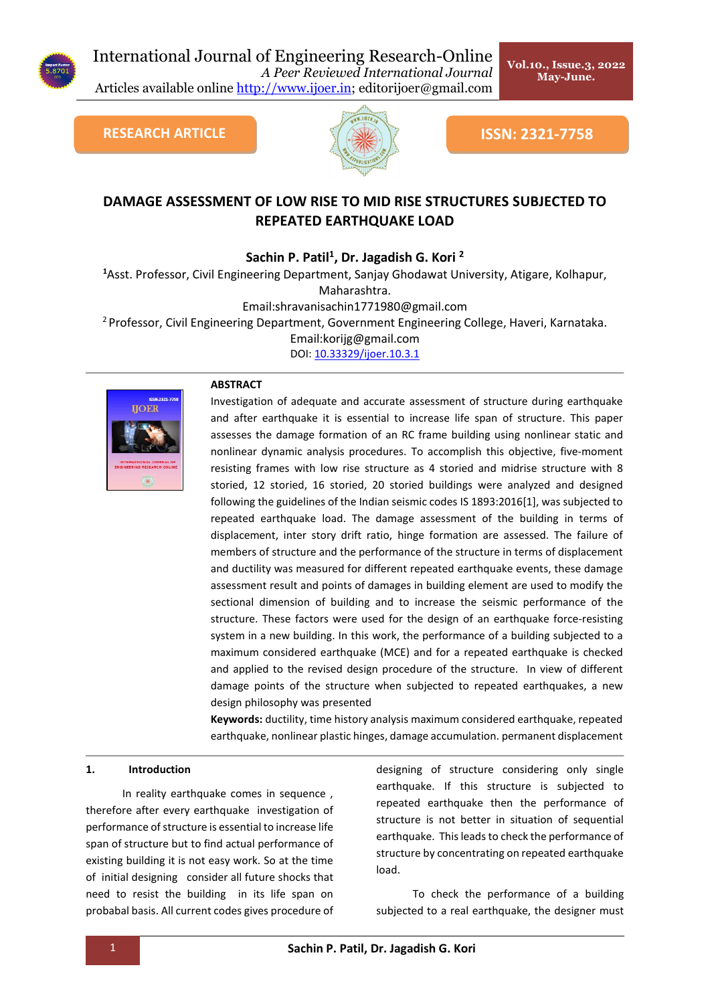

# International Journal of Engineering Research-Online

*A Peer Reviewed International Journal* Articles available online [http://www.ijoer.in;](http://www.ijoer.in/) editorijoer@gmail.com



**RESEARCH ARTICLE ISSN: 2321-7758** 

**Vol.10., Issue.3, 2022 May-June.** 

# **DAMAGE ASSESSMENT OF LOW RISE TO MID RISE STRUCTURES SUBJECTED TO REPEATED EARTHQUAKE LOAD**

**Sachin P. Patil<sup>1</sup> , Dr. Jagadish G. Kori <sup>2</sup>**

**<sup>1</sup>**Asst. Professor, Civil Engineering Department, Sanjay Ghodawat University, Atigare, Kolhapur, Maharashtra.

Email:shravanisachin1771980@gmail.com

<sup>2</sup> Professor, Civil Engineering Department, Government Engineering College, Haveri, Karnataka.

Email:korijg@gmail.com

[DOI: 10.33329/ijoer.10.3.1](http://www.ijoer.in/)



# **ABSTRACT**

Investigation of adequate and accurate assessment of structure during earthquake and after earthquake it is essential to increase life span of structure. This paper assesses the damage formation of an RC frame building using nonlinear static and nonlinear dynamic analysis procedures. To accomplish this objective, five-moment resisting frames with low rise structure as 4 storied and midrise structure with 8 storied, 12 storied, 16 storied, 20 storied buildings were analyzed and designed following the guidelines of the Indian seismic codes IS 1893:2016[1], was subjected to repeated earthquake load. The damage assessment of the building in terms of displacement, inter story drift ratio, hinge formation are assessed. The failure of members of structure and the performance of the structure in terms of displacement and ductility was measured for different repeated earthquake events, these damage assessment result and points of damages in building element are used to modify the sectional dimension of building and to increase the seismic performance of the structure. These factors were used for the design of an earthquake force-resisting system in a new building. In this work, the performance of a building subjected to a maximum considered earthquake (MCE) and for a repeated earthquake is checked and applied to the revised design procedure of the structure. In view of different damage points of the structure when subjected to repeated earthquakes, a new design philosophy was presented

**Keywords:** ductility, time history analysis maximum considered earthquake, repeated earthquake, nonlinear plastic hinges, damage accumulation. permanent displacement

# **1. Introduction**

In reality earthquake comes in sequence , therefore after every earthquake investigation of performance of structure is essential to increase life span of structure but to find actual performance of existing building it is not easy work. So at the time of initial designing consider all future shocks that need to resist the building in its life span on probabal basis. All current codes gives procedure of designing of structure considering only single earthquake. If this structure is subjected to repeated earthquake then the performance of structure is not better in situation of sequential earthquake. This leads to check the performance of structure by concentrating on repeated earthquake load.

To check the performance of a building subjected to a real earthquake, the designer must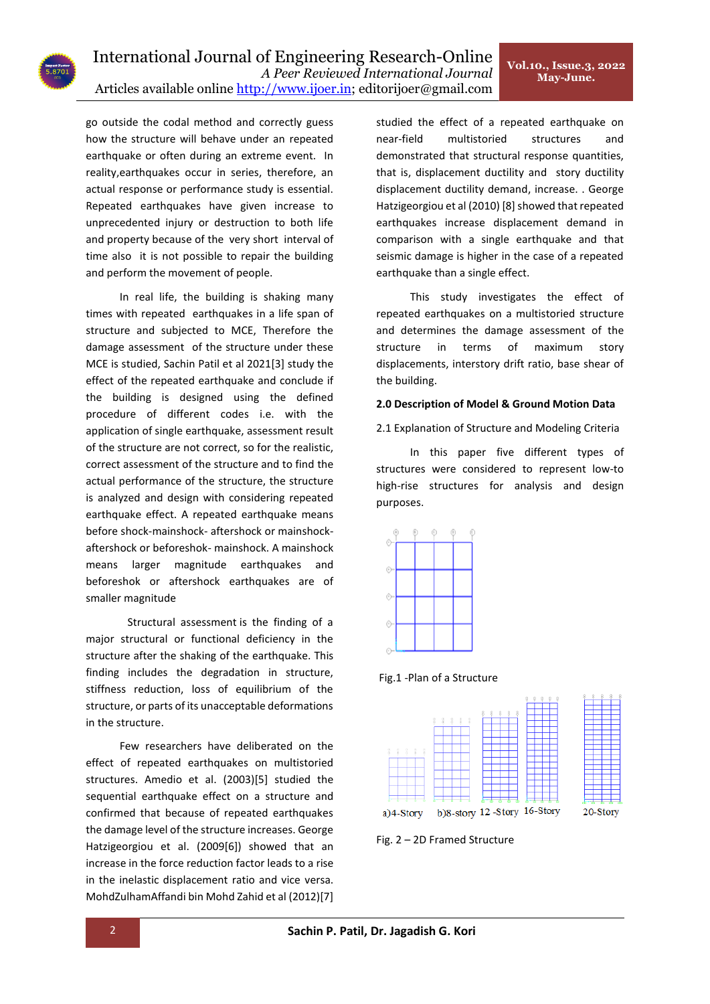go outside the codal method and correctly guess how the structure will behave under an repeated earthquake or often during an extreme event. In reality,earthquakes occur in series, therefore, an actual response or performance study is essential. Repeated earthquakes have given increase to unprecedented injury or destruction to both life and property because of the very short interval of time also it is not possible to repair the building and perform the movement of people.

In real life, the building is shaking many times with repeated earthquakes in a life span of structure and subjected to MCE, Therefore the damage assessment of the structure under these MCE is studied, Sachin Patil et al 2021[3] study the effect of the repeated earthquake and conclude if the building is designed using the defined procedure of different codes i.e. with the application of single earthquake, assessment result of the structure are not correct, so for the realistic, correct assessment of the structure and to find the actual performance of the structure, the structure is analyzed and design with considering repeated earthquake effect. A repeated earthquake means before shock-mainshock- aftershock or mainshockaftershock or beforeshok- mainshock. A mainshock means larger magnitude earthquakes and beforeshok or aftershock earthquakes are of smaller magnitude

Structural assessment is the finding of a major structural or functional deficiency in the structure after the shaking of the earthquake. This finding includes the degradation in structure, stiffness reduction, loss of equilibrium of the structure, or parts of its unacceptable deformations in the structure.

Few researchers have deliberated on the effect of repeated earthquakes on multistoried structures. Amedio et al. (2003)[5] studied the sequential earthquake effect on a structure and confirmed that because of repeated earthquakes the damage level of the structure increases. George Hatzigeorgiou et al. (2009[6]) showed that an increase in the force reduction factor leads to a rise in the inelastic displacement ratio and vice versa. MohdZulhamAffandi bin Mohd Zahid et al (2012)[7]

studied the effect of a repeated earthquake on near-field multistoried structures and demonstrated that structural response quantities, that is, displacement ductility and story ductility displacement ductility demand, increase. . George Hatzigeorgiou et al (2010) [8] showed that repeated earthquakes increase displacement demand in comparison with a single earthquake and that seismic damage is higher in the case of a repeated earthquake than a single effect.

This study investigates the effect of repeated earthquakes on a multistoried structure and determines the damage assessment of the structure in terms of maximum story displacements, interstory drift ratio, base shear of the building.

# **2.0 Description of Model & Ground Motion Data**

2.1 Explanation of Structure and Modeling Criteria

In this paper five different types of structures were considered to represent low-to high-rise structures for analysis and design purposes.







Fig. 2 – 2D Framed Structure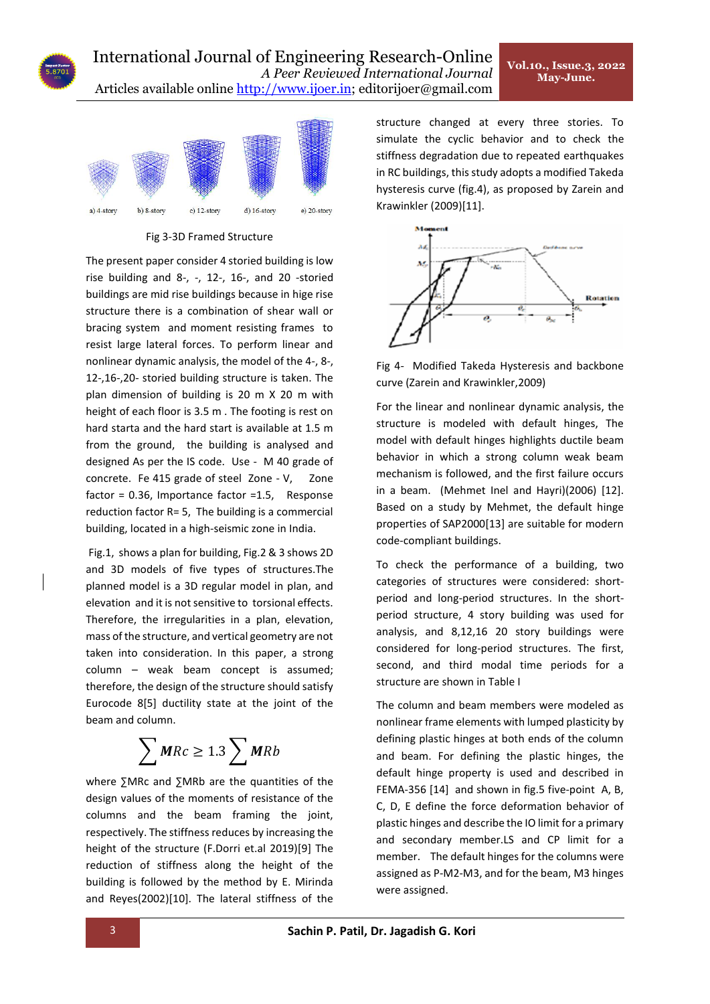

Fig 3-3D Framed Structure

The present paper consider 4 storied building is low rise building and 8-, -, 12-, 16-, and 20 -storied buildings are mid rise buildings because in hige rise structure there is a combination of shear wall or bracing system and moment resisting frames to resist large lateral forces. To perform linear and nonlinear dynamic analysis, the model of the 4-, 8-, 12-,16-,20- storied building structure is taken. The plan dimension of building is 20 m X 20 m with height of each floor is 3.5 m . The footing is rest on hard starta and the hard start is available at 1.5 m from the ground, the building is analysed and designed As per the IS code. Use - M 40 grade of concrete. Fe 415 grade of steel Zone - V, Zone factor = 0.36, Importance factor =1.5, Response reduction factor R= 5, The building is a commercial building, located in a high-seismic zone in India.

Fig.1, shows a plan for building, Fig.2 & 3 shows 2D and 3D models of five types of structures.The planned model is a 3D regular model in plan, and elevation and it is not sensitive to torsional effects. Therefore, the irregularities in a plan, elevation, mass of the structure, and vertical geometry are not taken into consideration. In this paper, a strong column – weak beam concept is assumed; therefore, the design of the structure should satisfy Eurocode 8[5] ductility state at the joint of the beam and column.

$$
\sum \textit{MRC} \geq 1.3 \sum \textit{MRB}
$$

where ∑MRc and ∑MRb are the quantities of the design values of the moments of resistance of the columns and the beam framing the joint, respectively. The stiffness reduces by increasing the height of the structure (F.Dorri et.al 2019)[9] The reduction of stiffness along the height of the building is followed by the method by E. Mirinda and Reyes(2002)[10]. The lateral stiffness of the

structure changed at every three stories. To simulate the cyclic behavior and to check the stiffness degradation due to repeated earthquakes in RC buildings, this study adopts a modified Takeda hysteresis curve (fig.4), as proposed by Zarein and Krawinkler (2009)[11].



Fig 4- Modified Takeda Hysteresis and backbone curve (Zarein and Krawinkler,2009)

For the linear and nonlinear dynamic analysis, the structure is modeled with default hinges, The model with default hinges highlights ductile beam behavior in which a strong column weak beam mechanism is followed, and the first failure occurs in a beam. (Mehmet Inel and Hayri)(2006) [12]. Based on a study by Mehmet, the default hinge properties of SAP2000[13] are suitable for modern code-compliant buildings.

To check the performance of a building, two categories of structures were considered: shortperiod and long-period structures. In the shortperiod structure, 4 story building was used for analysis, and 8,12,16 20 story buildings were considered for long-period structures. The first, second, and third modal time periods for a structure are shown in Table I

The column and beam members were modeled as nonlinear frame elements with lumped plasticity by defining plastic hinges at both ends of the column and beam. For defining the plastic hinges, the default hinge property is used and described in FEMA-356 [14] and shown in fig.5 five-point A, B, C, D, E define the force deformation behavior of plastic hinges and describe the IO limit for a primary and secondary member.LS and CP limit for a member. The default hinges for the columns were assigned as P-M2-M3, and for the beam, M3 hinges were assigned.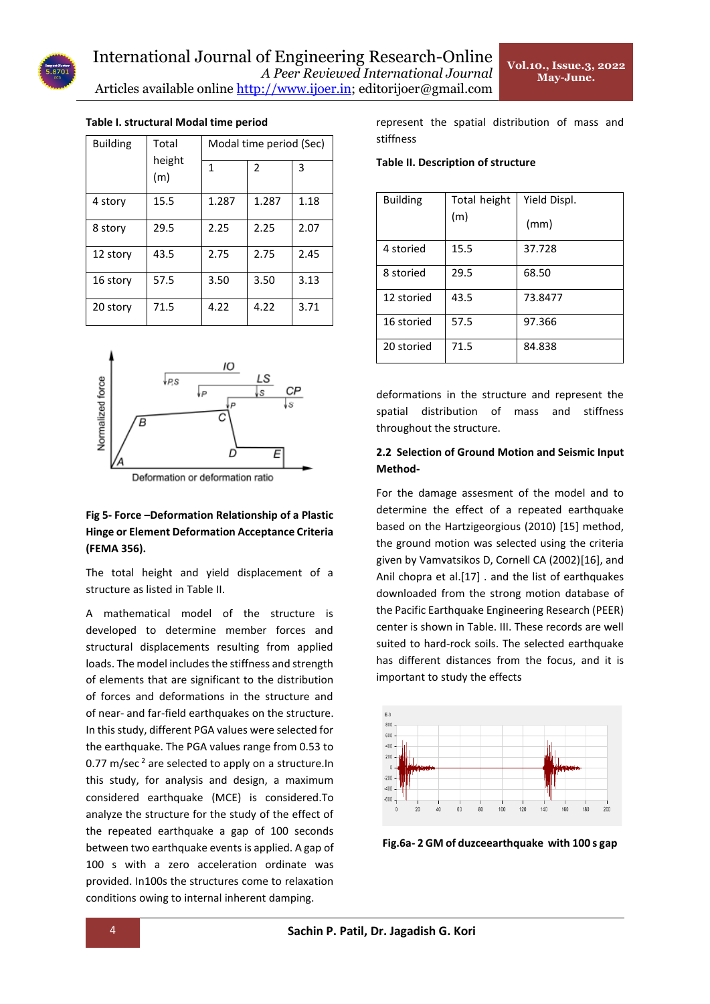| <b>Building</b> | Total<br>height<br>(m) | Modal time period (Sec) |               |      |  |
|-----------------|------------------------|-------------------------|---------------|------|--|
|                 |                        | 1                       | $\mathfrak z$ | 3    |  |
| 4 story         | 15.5                   | 1.287                   | 1.287         | 1.18 |  |
| 8 story         | 29.5                   | 2.25                    | 2.25          | 2.07 |  |
| 12 story        | 43.5                   | 2.75                    | 2.75          | 2.45 |  |
| 16 story        | 57.5                   | 3.50                    | 3.50          | 3.13 |  |
| 20 story        | 71.5                   | 4.22                    | 4.22          | 3.71 |  |

#### **Table I. structural Modal time period**



# **Fig 5- Force –Deformation Relationship of a Plastic Hinge or Element Deformation Acceptance Criteria (FEMA 356).**

The total height and yield displacement of a structure as listed in Table II.

A mathematical model of the structure is developed to determine member forces and structural displacements resulting from applied loads. The model includes the stiffness and strength of elements that are significant to the distribution of forces and deformations in the structure and of near- and far-field earthquakes on the structure. In this study, different PGA values were selected for the earthquake. The PGA values range from 0.53 to 0.77 m/sec $^2$  are selected to apply on a structure. In this study, for analysis and design, a maximum considered earthquake (MCE) is considered.To analyze the structure for the study of the effect of the repeated earthquake a gap of 100 seconds between two earthquake events is applied. A gap of 100 s with a zero acceleration ordinate was provided. In100s the structures come to relaxation conditions owing to internal inherent damping.

represent the spatial distribution of mass and stiffness

#### **Table II. Description of structure**

| <b>Building</b> | Total height<br>(m) | Yield Displ.<br>(mm) |
|-----------------|---------------------|----------------------|
| 4 storied       | 15.5                | 37.728               |
| 8 storied       | 29.5                | 68.50                |
| 12 storied      | 43.5                | 73.8477              |
| 16 storied      | 57.5                | 97.366               |
| 20 storied      | 71.5                | 84.838               |

deformations in the structure and represent the spatial distribution of mass and stiffness throughout the structure.

# **2.2 Selection of Ground Motion and Seismic Input Method-**

For the damage assesment of the model and to determine the effect of a repeated earthquake based on the Hartzigeorgious (2010) [15] method, the ground motion was selected using the criteria given by Vamvatsikos D, Cornell CA (2002)[16], and Anil chopra et al.[17] . and the list of earthquakes downloaded from the strong motion database of the Pacific Earthquake Engineering Research (PEER) center is shown in Table. III. These records are well suited to hard-rock soils. The selected earthquake has different distances from the focus, and it is important to study the effects



**Fig.6a- 2 GM of duzceearthquake with 100 s gap**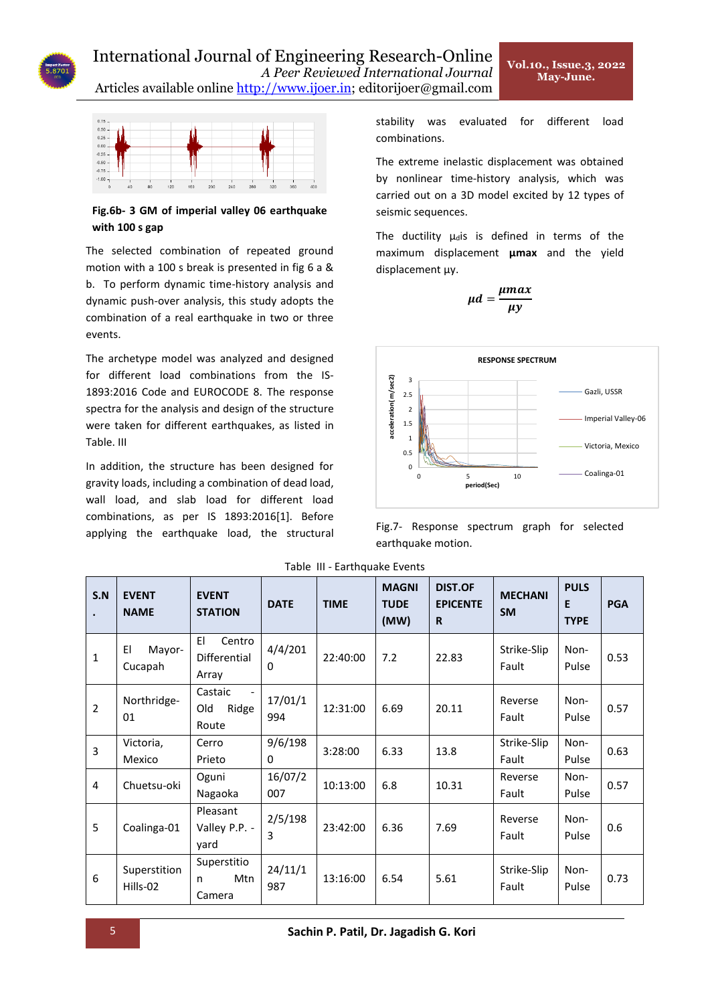

# International Journal of Engineering Research-Online *A Peer Reviewed International Journal*

Articles available online [http://www.ijoer.in;](http://www.ijoer.in/) editorijoer@gmail.com



**Fig.6b- 3 GM of imperial valley 06 earthquake with 100 s gap**

The selected combination of repeated ground motion with a 100 s break is presented in fig 6 a & b. To perform dynamic time-history analysis and dynamic push-over analysis, this study adopts the combination of a real earthquake in two or three events.

The archetype model was analyzed and designed for different load combinations from the IS-1893:2016 Code and EUROCODE 8. The response spectra for the analysis and design of the structure were taken for different earthquakes, as listed in Table. III

In addition, the structure has been designed for gravity loads, including a combination of dead load, wall load, and slab load for different load combinations, as per IS 1893:2016[1]. Before applying the earthquake load, the structural

stability was evaluated for different load combinations.

**Vol.10., Issue.3, 2022 May-June.** 

The extreme inelastic displacement was obtained by nonlinear time-history analysis, which was carried out on a 3D model excited by 12 types of seismic sequences.

The ductility  $\mu_d$ is is defined in terms of the maximum displacement **μmax** and the yield displacement μy.

$$
\mu d = \frac{\mu max}{\mu y}
$$



Fig.7- Response spectrum graph for selected earthquake motion.

| S.N            | <b>EVENT</b><br><b>NAME</b> | <b>EVENT</b><br><b>STATION</b>        | <b>DATE</b>             | <b>TIME</b> | <b>MAGNI</b><br><b>TUDE</b><br>(MW) | <b>DIST.OF</b><br><b>EPICENTE</b><br>R | <b>MECHANI</b><br><b>SM</b> | <b>PULS</b><br>E<br><b>TYPE</b> | <b>PGA</b> |      |
|----------------|-----------------------------|---------------------------------------|-------------------------|-------------|-------------------------------------|----------------------------------------|-----------------------------|---------------------------------|------------|------|
| 1              | EI<br>Mayor-<br>Cucapah     | EI<br>Centro<br>Differential<br>Array | 4/4/201<br>0            | 22:40:00    | 7.2                                 | 22.83                                  | Strike-Slip<br>Fault        | Non-<br>Pulse                   | 0.53       |      |
| $\overline{2}$ | Northridge-<br>01           | Castaic<br>Old<br>Ridge<br>Route      | 17/01/1<br>994          | 12:31:00    | 6.69                                | 20.11                                  | Reverse<br>Fault            | Non-<br>Pulse                   | 0.57       |      |
| $\overline{3}$ | Victoria,                   | Cerro                                 | 9/6/198<br>$\mathbf{0}$ |             | 3:28:00                             | 6.33                                   | 13.8                        | Strike-Slip                     | Non-       | 0.63 |
|                | Mexico                      | Prieto                                |                         |             |                                     |                                        | Fault                       | Pulse                           |            |      |
| 4              | Chuetsu-oki                 | Oguni                                 | 16/07/2                 | 10:13:00    | 6.8                                 | 10.31                                  | Reverse                     | Non-                            | 0.57       |      |
|                |                             | Nagaoka                               | 007                     |             |                                     |                                        | Fault                       | Pulse                           |            |      |
| 5              | Coalinga-01                 | Pleasant<br>Valley P.P. -<br>yard     | 2/5/198<br>3            | 23:42:00    | 6.36                                | 7.69                                   | Reverse<br>Fault            | Non-<br>Pulse                   | 0.6        |      |
| 6              | Superstition<br>Hills-02    | Superstitio<br>Mtn<br>n<br>Camera     | 24/11/1<br>987          | 13:16:00    | 6.54                                | 5.61                                   | Strike-Slip<br>Fault        | Non-<br>Pulse                   | 0.73       |      |

Table III - Earthquake Events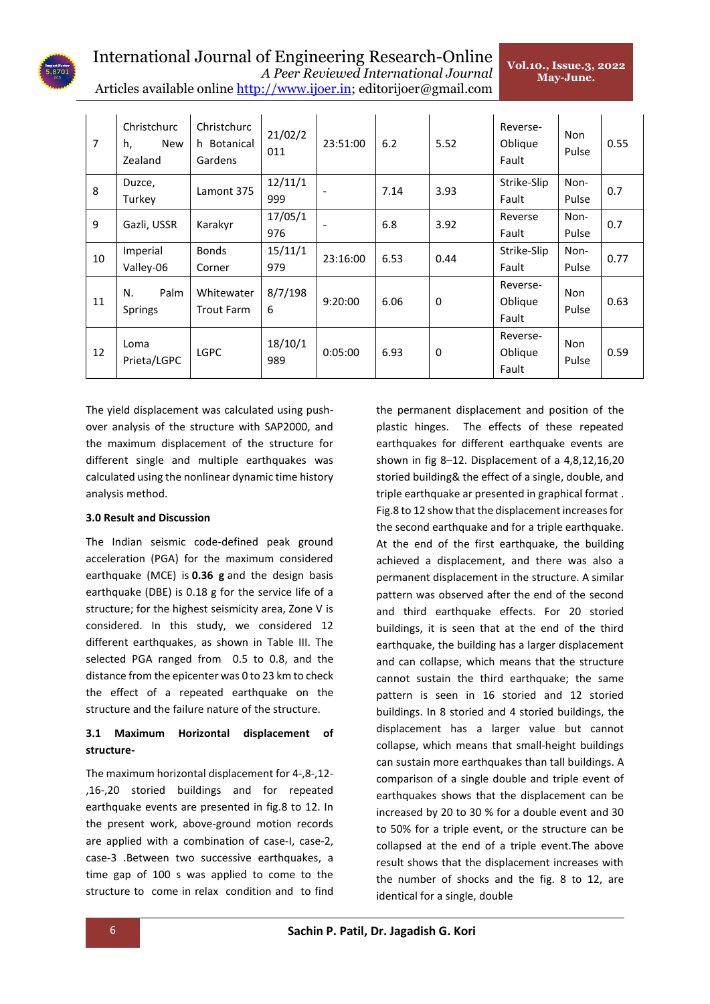

# International Journal of Engineering Research-Online *A Peer Reviewed International Journal*

**Vol.10., Issue.3, 2022 May-June.** 

| A T eel 'Reviewed Thiel Rational Doul Rai                            |  |
|----------------------------------------------------------------------|--|
| Articles available online http://www.ijoer.in; editorijoer@gmail.com |  |

| $\overline{7}$ | Christchurc<br>h,<br><b>New</b><br>Zealand | Christchurc<br>h Botanical<br>Gardens | 21/02/2<br>011 | 23:51:00 | 6.2  | 5.52        | Reverse-<br>Oblique<br>Fault | Non<br>Pulse  | 0.55 |
|----------------|--------------------------------------------|---------------------------------------|----------------|----------|------|-------------|------------------------------|---------------|------|
| 8              | Duzce,<br>Turkey                           | Lamont 375                            | 12/11/1<br>999 |          | 7.14 | 3.93        | Strike-Slip<br>Fault         | Non-<br>Pulse | 0.7  |
| 9              | Gazli, USSR                                | Karakyr                               | 17/05/1<br>976 |          | 6.8  | 3.92        | Reverse<br>Fault             | Non-<br>Pulse | 0.7  |
| 10             | Imperial<br>Valley-06                      | <b>Bonds</b><br>Corner                | 15/11/1<br>979 | 23:16:00 | 6.53 | 0.44        | Strike-Slip<br>Fault         | Non-<br>Pulse | 0.77 |
| 11             | Palm<br>N.<br><b>Springs</b>               | Whitewater<br><b>Trout Farm</b>       | 8/7/198<br>6   | 9:20:00  | 6.06 | 0           | Reverse-<br>Oblique<br>Fault | Non<br>Pulse  | 0.63 |
| 12             | Loma<br>Prieta/LGPC                        | <b>LGPC</b>                           | 18/10/1<br>989 | 0:05:00  | 6.93 | $\mathbf 0$ | Reverse-<br>Oblique<br>Fault | Non<br>Pulse  | 0.59 |

The yield displacement was calculated using pushover analysis of the structure with SAP2000, and the maximum displacement of the structure for different single and multiple earthquakes was calculated using the nonlinear dynamic time history analysis method.

# **3.0 Result and Discussion**

The Indian seismic code-defined peak ground acceleration (PGA) for the maximum considered earthquake (MCE) is **0.36 g** and the design basis earthquake (DBE) is 0.18 g for the service life of a structure; for the highest seismicity area, Zone V is considered. In this study, we considered 12 different earthquakes, as shown in Table III. The selected PGA ranged from 0.5 to 0.8, and the distance from the epicenter was 0 to 23 km to check the effect of a repeated earthquake on the structure and the failure nature of the structure.

# **3.1 Maximum Horizontal displacement of structure-**

The maximum horizontal displacement for 4-,8-,12- ,16-,20 storied buildings and for repeated earthquake events are presented in fig.8 to 12. In the present work, above-ground motion records are applied with a combination of case-I, case-2, case-3 .Between two successive earthquakes, a time gap of 100 s was applied to come to the structure to come in relax condition and to find

the permanent displacement and position of the plastic hinges. The effects of these repeated earthquakes for different earthquake events are shown in fig 8–12. Displacement of a 4,8,12,16,20 storied building& the effect of a single, double, and triple earthquake ar presented in graphical format . Fig.8 to 12 show that the displacement increases for the second earthquake and for a triple earthquake. At the end of the first earthquake, the building achieved a displacement, and there was also a permanent displacement in the structure. A similar pattern was observed after the end of the second and third earthquake effects. For 20 storied buildings, it is seen that at the end of the third earthquake, the building has a larger displacement and can collapse, which means that the structure cannot sustain the third earthquake; the same pattern is seen in 16 storied and 12 storied buildings. In 8 storied and 4 storied buildings, the displacement has a larger value but cannot collapse, which means that small-height buildings can sustain more earthquakes than tall buildings. A comparison of a single double and triple event of earthquakes shows that the displacement can be increased by 20 to 30 % for a double event and 30 to 50% for a triple event, or the structure can be collapsed at the end of a triple event.The above result shows that the displacement increases with the number of shocks and the fig. 8 to 12, are identical for a single, double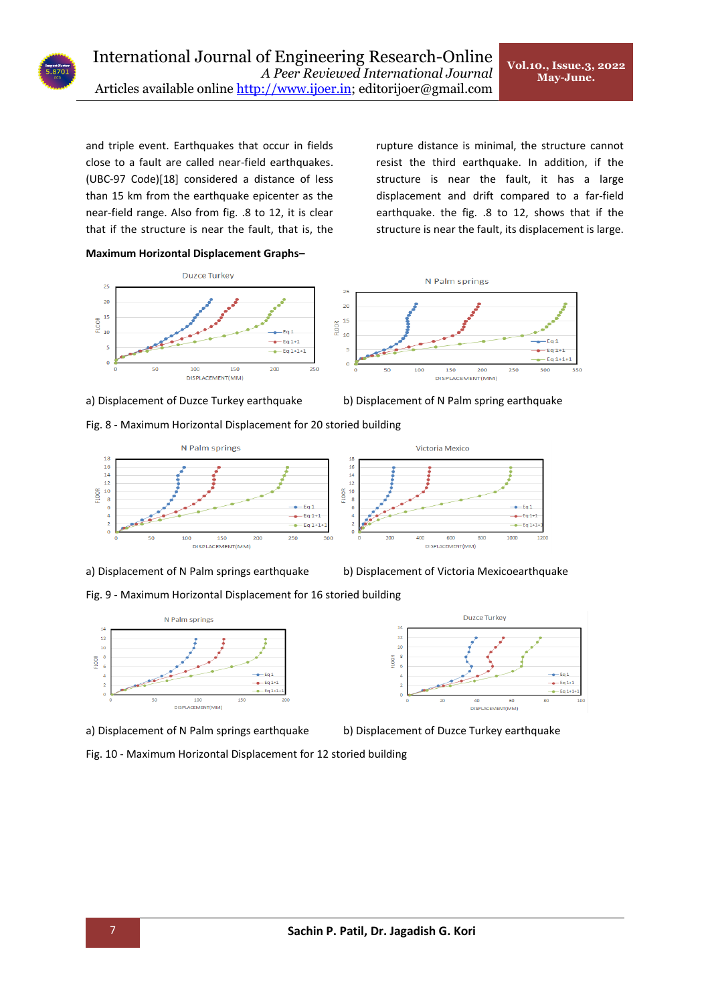and triple event. Earthquakes that occur in fields close to a fault are called near-field earthquakes. (UBC-97 Code)[18] considered a distance of less than 15 km from the earthquake epicenter as the near-field range. Also from fig. .8 to 12, it is clear that if the structure is near the fault, that is, the

**Maximum Horizontal Displacement Graphs–**





Fig. 8 - Maximum Horizontal Displacement for 20 storied building





rupture distance is minimal, the structure cannot resist the third earthquake. In addition, if the structure is near the fault, it has a large displacement and drift compared to a far-field earthquake. the fig. .8 to 12, shows that if the structure is near the fault, its displacement is large.





a) Displacement of N Palm springs earthquake b) Displacement of Victoria Mexicoearthquake

 $\frac{1}{2}$ 

 $\frac{1}{2}$ 

LOOR

Duzce Turkey

60

DISPLACEMENT(MM)

 $-Eq1$ 

 $-Eq1+1$ 

 $-$ Eq 1+1

Fig. 9 - Maximum Horizontal Displacement for 16 storied building



a) Displacement of N Palm springs earthquake b) Displacement of Duzce Turkey earthquake

Fig. 10 - Maximum Horizontal Displacement for 12 storied building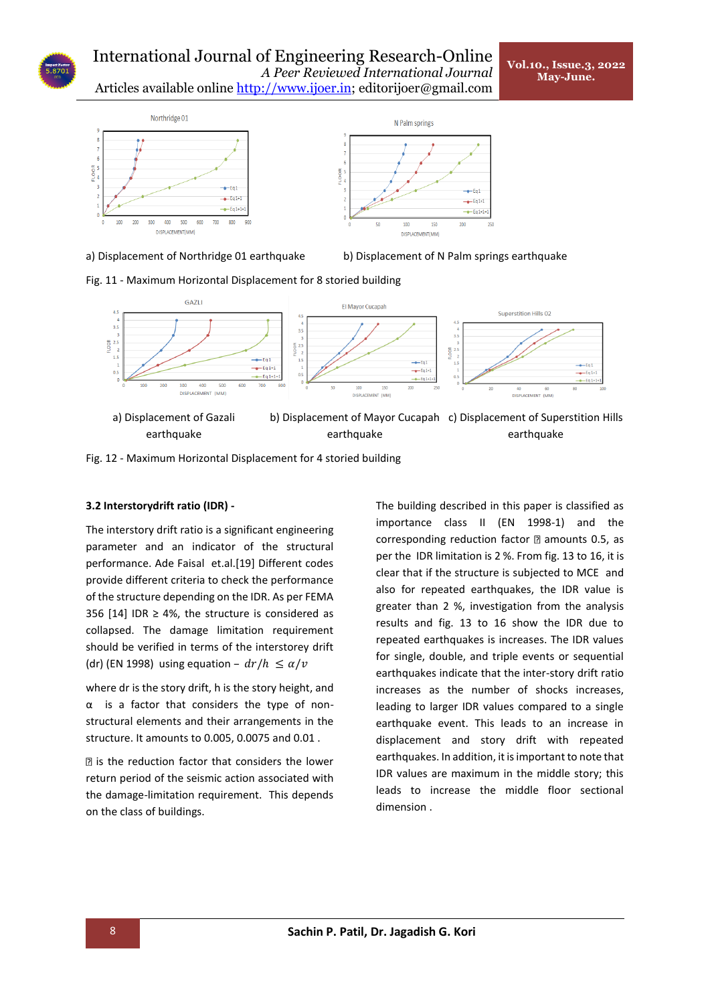

a) Displacement of Northridge 01 earthquake b) Displacement of N Palm springs earthquake

15

 $200$ 

 $e$ -Eq 1+1

 $\bullet$  - Eq 1+1

 $250$ 





Fig. 12 - Maximum Horizontal Displacement for 4 storied building

# **3.2 Interstorydrift ratio (IDR) -**

The interstory drift ratio is a significant engineering parameter and an indicator of the structural performance. Ade Faisal et.al.[19] Different codes provide different criteria to check the performance of the structure depending on the IDR. As per FEMA 356 [14] IDR  $\geq$  4%, the structure is considered as collapsed. The damage limitation requirement should be verified in terms of the interstorey drift (dr) (EN 1998) using equation –  $dr/h \le \alpha/v$ 

where dr is the story drift, h is the story height, and α is a factor that considers the type of nonstructural elements and their arrangements in the structure. It amounts to 0.005, 0.0075 and 0.01 .

 $\mathbb B$  is the reduction factor that considers the lower return period of the seismic action associated with the damage-limitation requirement. This depends on the class of buildings.

The building described in this paper is classified as importance class II (EN 1998-1) and the corresponding reduction factor  $\mathbb D$  amounts 0.5, as per the IDR limitation is 2 %. From fig. 13 to 16, it is clear that if the structure is subjected to MCE and also for repeated earthquakes, the IDR value is greater than 2 %, investigation from the analysis results and fig. 13 to 16 show the IDR due to repeated earthquakes is increases. The IDR values for single, double, and triple events or sequential earthquakes indicate that the inter-story drift ratio increases as the number of shocks increases, leading to larger IDR values compared to a single earthquake event. This leads to an increase in displacement and story drift with repeated earthquakes. In addition, it is important to note that IDR values are maximum in the middle story; this leads to increase the middle floor sectional dimension .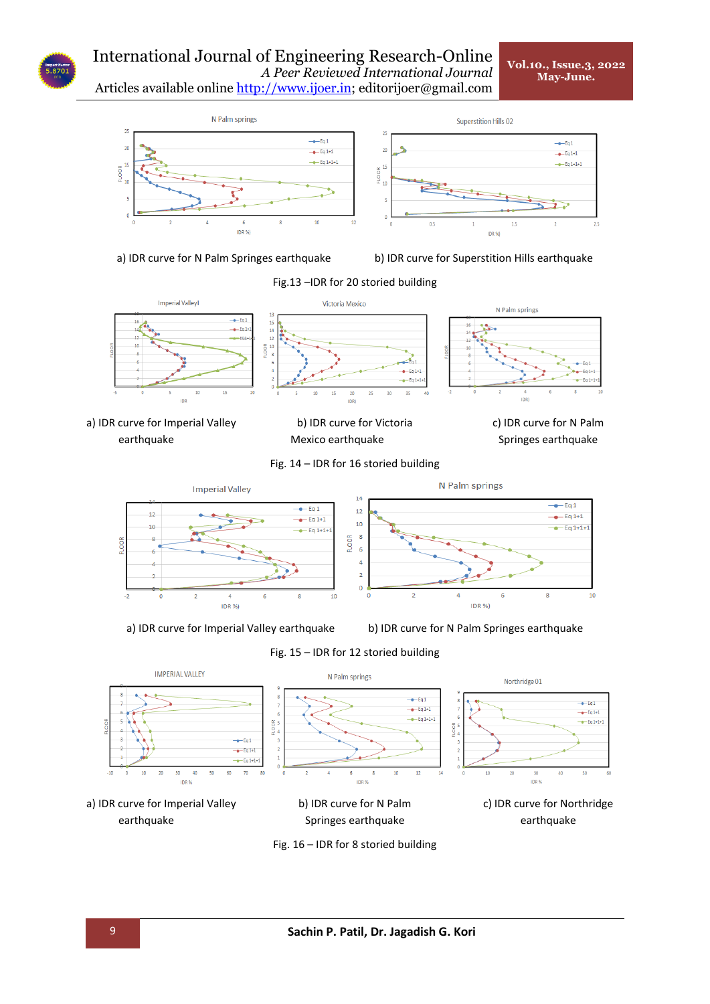

Articles available online [http://www.ijoer.in;](http://www.ijoer.in/) editorijoer@gmail.com



a) IDR curve for N Palm Springes earthquake b) IDR curve for Superstition Hills earthquake



a) IDR curve for Imperial Valley earthquake

b) IDR curve for Victoria Mexico earthquake

c) IDR curve for N Palm Springes earthquake

Fig. 14 – IDR for 16 storied building



a) IDR curve for Imperial Valley earthquake b) IDR curve for N Palm Springes earthquake



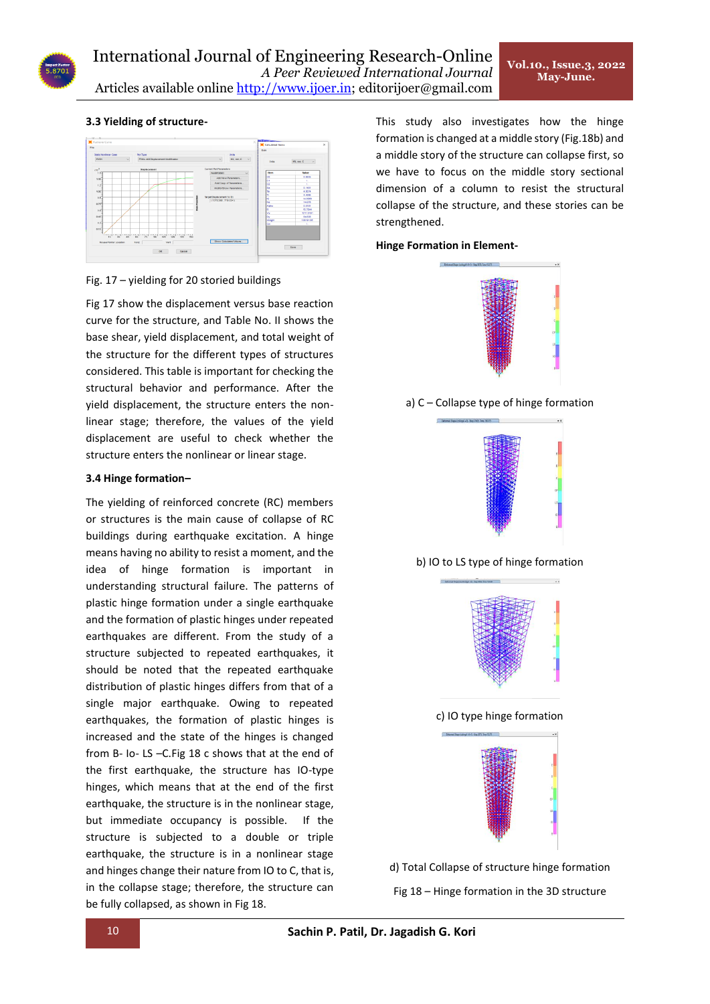# **3.3 Yielding of structure-**



# Fig. 17 – yielding for 20 storied buildings

Fig 17 show the displacement versus base reaction curve for the structure, and Table No. II shows the base shear, yield displacement, and total weight of the structure for the different types of structures considered. This table is important for checking the structural behavior and performance. After the yield displacement, the structure enters the nonlinear stage; therefore, the values of the yield displacement are useful to check whether the structure enters the nonlinear or linear stage.

# **3.4 Hinge formation–**

The yielding of reinforced concrete (RC) members or structures is the main cause of collapse of RC buildings during earthquake excitation. A hinge means having no ability to resist a moment, and the idea of hinge formation is important in understanding structural failure. The patterns of plastic hinge formation under a single earthquake and the formation of plastic hinges under repeated earthquakes are different. From the study of a structure subjected to repeated earthquakes, it should be noted that the repeated earthquake distribution of plastic hinges differs from that of a single major earthquake. Owing to repeated earthquakes, the formation of plastic hinges is increased and the state of the hinges is changed from B- Io- LS –C.Fig 18 c shows that at the end of the first earthquake, the structure has IO-type hinges, which means that at the end of the first earthquake, the structure is in the nonlinear stage, but immediate occupancy is possible. If the structure is subjected to a double or triple earthquake, the structure is in a nonlinear stage and hinges change their nature from IO to C, that is, in the collapse stage; therefore, the structure can be fully collapsed, as shown in Fig 18.

This study also investigates how the hinge formation is changed at a middle story (Fig.18b) and a middle story of the structure can collapse first, so we have to focus on the middle story sectional dimension of a column to resist the structural collapse of the structure, and these stories can be strengthened.

#### **Hinge Formation in Element-**



a) C – Collapse type of hinge formation



b) IO to LS type of hinge formation



c) IO type hinge formation



d) Total Collapse of structure hinge formation Fig 18 – Hinge formation in the 3D structure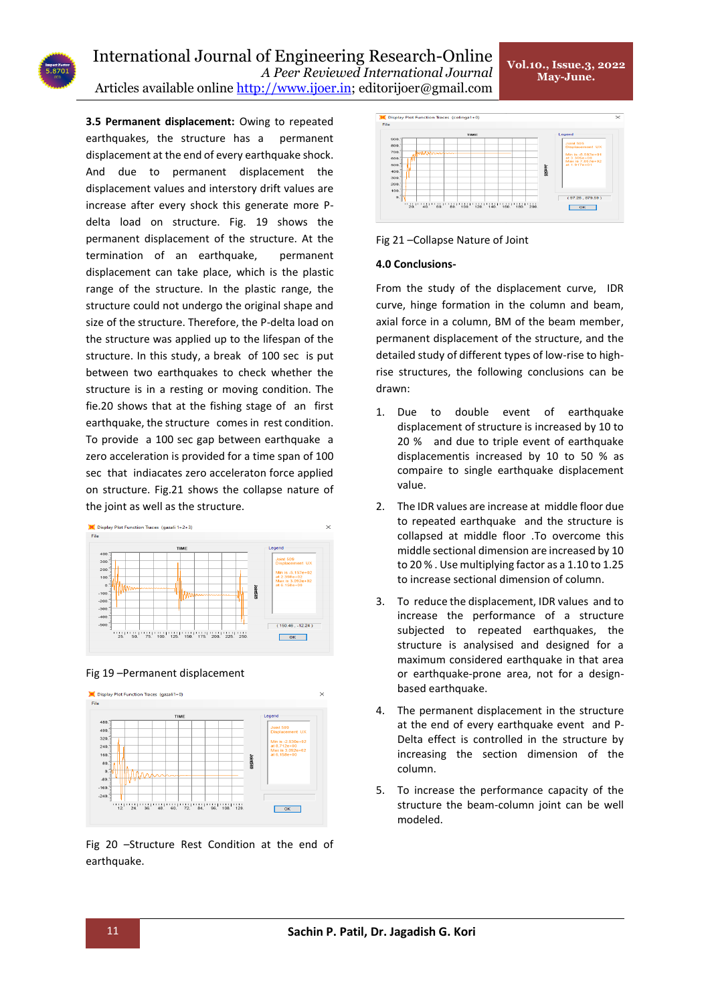**3.5 Permanent displacement:** Owing to repeated earthquakes, the structure has a permanent displacement at the end of every earthquake shock. And due to permanent displacement the displacement values and interstory drift values are increase after every shock this generate more Pdelta load on structure. Fig. 19 shows the permanent displacement of the structure. At the termination of an earthquake, permanent displacement can take place, which is the plastic range of the structure. In the plastic range, the structure could not undergo the original shape and size of the structure. Therefore, the P-delta load on the structure was applied up to the lifespan of the structure. In this study, a break of 100 sec is put between two earthquakes to check whether the structure is in a resting or moving condition. The fie.20 shows that at the fishing stage of an first earthquake, the structure comes in rest condition. To provide a 100 sec gap between earthquake a zero acceleration is provided for a time span of 100 sec that indiacates zero acceleraton force applied on structure. Fig.21 shows the collapse nature of the joint as well as the structure.



# Fig 19 –Permanent displacement



Fig 20 –Structure Rest Condition at the end of earthquake.



# Fig 21 –Collapse Nature of Joint

# **4.0 Conclusions-**

From the study of the displacement curve, IDR curve, hinge formation in the column and beam, axial force in a column, BM of the beam member, permanent displacement of the structure, and the detailed study of different types of low-rise to highrise structures, the following conclusions can be drawn:

- 1. Due to double event of earthquake displacement of structure is increased by 10 to 20 % and due to triple event of earthquake displacementis increased by 10 to 50 % as compaire to single earthquake displacement value.
- 2. The IDR values are increase at middle floor due to repeated earthquake and the structure is collapsed at middle floor .To overcome this middle sectional dimension are increased by 10 to 20 % . Use multiplying factor as a 1.10 to 1.25 to increase sectional dimension of column.
- 3. To reduce the displacement, IDR values and to increase the performance of a structure subjected to repeated earthquakes, the structure is analysised and designed for a maximum considered earthquake in that area or earthquake-prone area, not for a designbased earthquake.
- 4. The permanent displacement in the structure at the end of every earthquake event and P-Delta effect is controlled in the structure by increasing the section dimension of the column.
- 5. To increase the performance capacity of the structure the beam-column joint can be well modeled.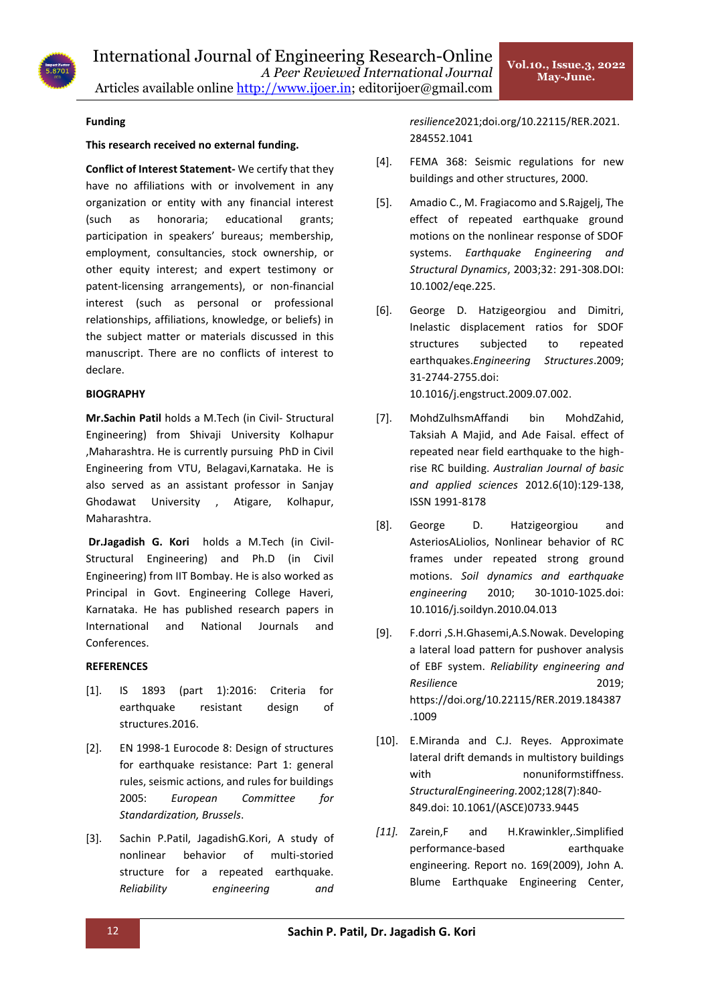

# **Funding**

# **This research received no external funding.**

**Conflict of Interest Statement-** We certify that they have no affiliations with or involvement in any organization or entity with any financial interest (such as honoraria; educational grants; participation in speakers' bureaus; membership, employment, consultancies, stock ownership, or other equity interest; and expert testimony or patent-licensing arrangements), or non-financial interest (such as personal or professional relationships, affiliations, knowledge, or beliefs) in the subject matter or materials discussed in this manuscript. There are no conflicts of interest to declare.

# **BIOGRAPHY**

**Mr.Sachin Patil** holds a M.Tech (in Civil- Structural Engineering) from Shivaji University Kolhapur ,Maharashtra. He is currently pursuing PhD in Civil Engineering from VTU, Belagavi,Karnataka. He is also served as an assistant professor in Sanjay Ghodawat University , Atigare, Kolhapur, Maharashtra.

**Dr.Jagadish G. Kori** holds a M.Tech (in Civil-Structural Engineering) and Ph.D (in Civil Engineering) from IIT Bombay. He is also worked as Principal in Govt. Engineering College Haveri, Karnataka. He has published research papers in International and National Journals and Conferences.

# **REFERENCES**

- [1]. IS 1893 (part 1):2016: Criteria for earthquake resistant design of structures.2016.
- [2]. EN 1998-1 Eurocode 8: Design of structures for earthquake resistance: Part 1: general rules, seismic actions, and rules for buildings 2005: *European Committee for Standardization, Brussels*.
- [3]. Sachin P.Patil, JagadishG.Kori, A study of nonlinear behavior of multi-storied structure for a repeated earthquake. *Reliability engineering and*

*resilience*2021;doi.org/10.22115/RER.2021. 284552.1041

- [4]. FEMA 368: Seismic regulations for new buildings and other structures, 2000.
- [5]. Amadio C., M. Fragiacomo and S.Rajgelj, The effect of repeated earthquake ground motions on the nonlinear response of SDOF systems. *Earthquake Engineering and Structural Dynamics*, 2003;32: 291-308.DOI: 10.1002/eqe.225.
- [6]. George D. Hatzigeorgiou and Dimitri, Inelastic displacement ratios for SDOF structures subjected to repeated earthquakes.*Engineering Structures*.2009; 31-2744-2755.doi: 10.1016/j.engstruct.2009.07.002.
- [7]. MohdZulhsmAffandi bin MohdZahid, Taksiah A Majid, and Ade Faisal. effect of repeated near field earthquake to the highrise RC building. *Australian Journal of basic and applied sciences* 2012.6(10):129-138, ISSN 1991-8178
- [8]. George D. Hatzigeorgiou and AsteriosALiolios, Nonlinear behavior of RC frames under repeated strong ground motions. *Soil dynamics and earthquake engineering* 2010; 30-1010-1025.doi: 10.1016/j.soildyn.2010.04.013
- [9]. F.dorri ,S.H.Ghasemi,A.S.Nowak. Developing a lateral load pattern for pushover analysis of EBF system. *Reliability engineering and Resilienc*e 2019; https://doi.org/10.22115/RER.2019.184387 .1009
- [10]. E.Miranda and C.J. Reyes. Approximate lateral drift demands in multistory buildings with nonuniformstiffness. *StructuralEngineering.*2002;128(7):840- 849.doi: 10.1061/(ASCE)0733.9445
- *[11].* Zarein,F and H.Krawinkler,.Simplified performance-based earthquake engineering. Report no. 169(2009), John A. Blume Earthquake Engineering Center,